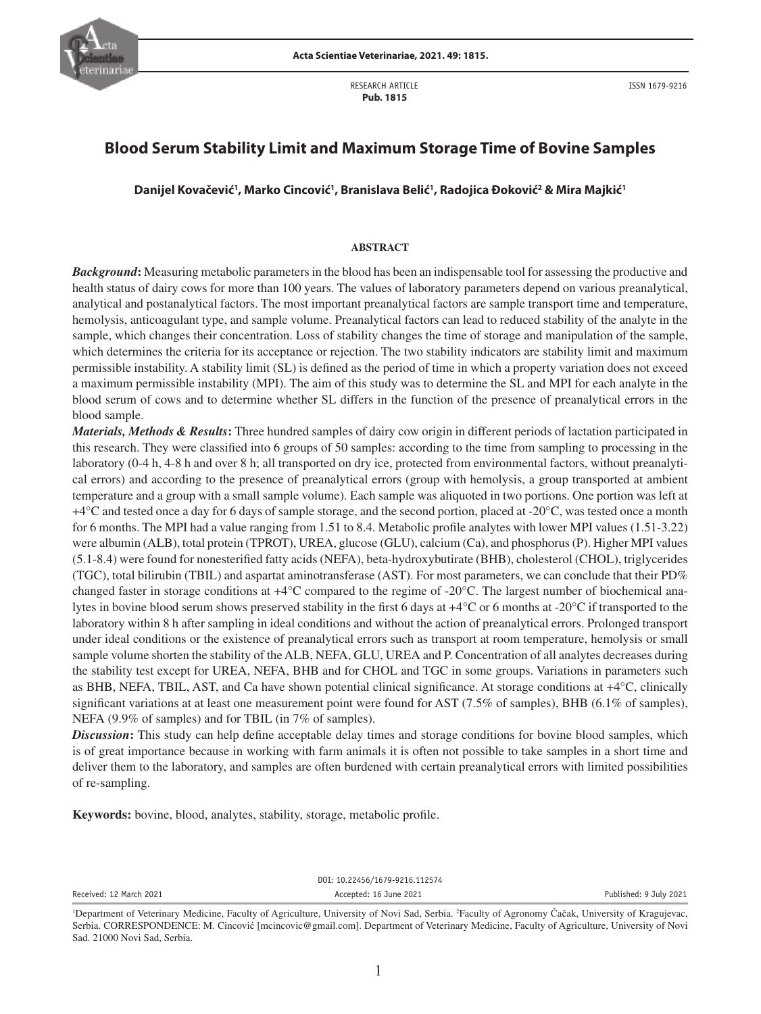

RESEARCH ARTICLE  **Pub. 1815**

# **Blood Serum Stability Limit and Maximum Storage Time of Bovine Samples**

**Danijel Kovačević1 , Marko Cincović1 , Branislava Belić1 , Radojica Đoković2 & Mira Majkić1**

### **ABSTRACT**

*Background***:** Measuring metabolic parameters in the blood has been an indispensable tool for assessing the productive and health status of dairy cows for more than 100 years. The values of laboratory parameters depend on various preanalytical, analytical and postanalytical factors. The most important preanalytical factors are sample transport time and temperature, hemolysis, anticoagulant type, and sample volume. Preanalytical factors can lead to reduced stability of the analyte in the sample, which changes their concentration. Loss of stability changes the time of storage and manipulation of the sample, which determines the criteria for its acceptance or rejection. The two stability indicators are stability limit and maximum permissible instability. A stability limit (SL) is defined as the period of time in which a property variation does not exceed a maximum permissible instability (MPI). The aim of this study was to determine the SL and MPI for each analyte in the blood serum of cows and to determine whether SL differs in the function of the presence of preanalytical errors in the blood sample.

*Materials, Methods & Results***:** Three hundred samples of dairy cow origin in different periods of lactation participated in this research. They were classified into 6 groups of 50 samples: according to the time from sampling to processing in the laboratory (0-4 h, 4-8 h and over 8 h; all transported on dry ice, protected from environmental factors, without preanalytical errors) and according to the presence of preanalytical errors (group with hemolysis, a group transported at ambient temperature and a group with a small sample volume). Each sample was aliquoted in two portions. One portion was left at  $+4^{\circ}$ C and tested once a day for 6 days of sample storage, and the second portion, placed at -20 $^{\circ}$ C, was tested once a month for 6 months. The MPI had a value ranging from 1.51 to 8.4. Metabolic profile analytes with lower MPI values (1.51-3.22) were albumin (ALB), total protein (TPROT), UREA, glucose (GLU), calcium (Ca), and phosphorus (P). Higher MPI values (5.1-8.4) were found for nonesterified fatty acids (NEFA), beta-hydroxybutirate (BHB), cholesterol (CHOL), triglycerides (TGC), total bilirubin (TBIL) and aspartat aminotransferase (AST). For most parameters, we can conclude that their PD% changed faster in storage conditions at  $+4^{\circ}$ C compared to the regime of  $-20^{\circ}$ C. The largest number of biochemical analytes in bovine blood serum shows preserved stability in the first 6 days at +4°C or 6 months at -20°C if transported to the laboratory within 8 h after sampling in ideal conditions and without the action of preanalytical errors. Prolonged transport under ideal conditions or the existence of preanalytical errors such as transport at room temperature, hemolysis or small sample volume shorten the stability of the ALB, NEFA, GLU, UREA and P. Concentration of all analytes decreases during the stability test except for UREA, NEFA, BHB and for CHOL and TGC in some groups. Variations in parameters such as BHB, NEFA, TBIL, AST, and Ca have shown potential clinical significance. At storage conditions at +4°C, clinically significant variations at at least one measurement point were found for AST (7.5% of samples), BHB (6.1% of samples), NEFA (9.9% of samples) and for TBIL (in 7% of samples).

*Discussion***:** This study can help define acceptable delay times and storage conditions for bovine blood samples, which is of great importance because in working with farm animals it is often not possible to take samples in a short time and deliver them to the laboratory, and samples are often burdened with certain preanalytical errors with limited possibilities of re-sampling.

**Keywords:** bovine, blood, analytes, stability, storage, metabolic profile.

Received: 12 March 2021 **Accepted: 16 June 2021 Accepted: 16 June 2021** Published: 9 July 2021

DOI: 10.22456/1679-9216.112574

<sup>&</sup>lt;sup>1</sup>Department of Veterinary Medicine, Faculty of Agriculture, University of Novi Sad, Serbia. <sup>2</sup>Faculty of Agronomy Čačak, University of Kragujevac, Serbia. CORRESPONDENCE: M. Cincović [mcincovic@gmail.com]. Department of Veterinary Medicine, Faculty of Agriculture, University of Novi Sad. 21000 Novi Sad, Serbia.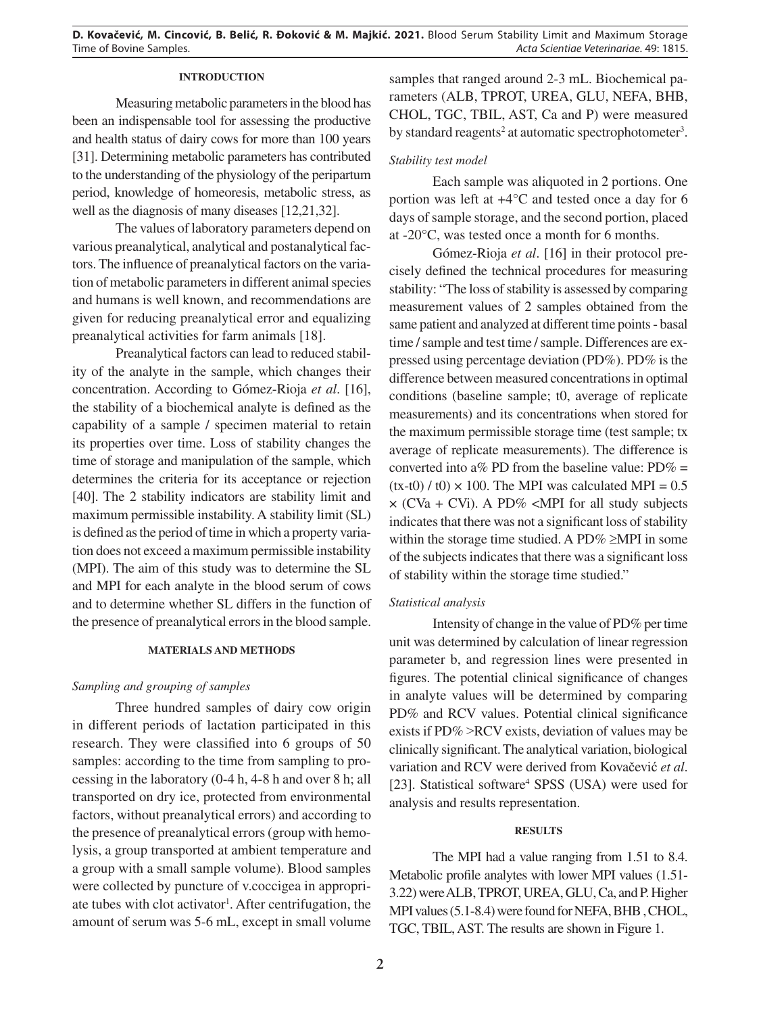## **INTRODUCTION**

Measuring metabolic parameters in the blood has been an indispensable tool for assessing the productive and health status of dairy cows for more than 100 years [31]. Determining metabolic parameters has contributed to the understanding of the physiology of the peripartum period, knowledge of homeoresis, metabolic stress, as well as the diagnosis of many diseases [12,21,32].

The values of laboratory parameters depend on various preanalytical, analytical and postanalytical factors. The influence of preanalytical factors on the variation of metabolic parameters in different animal species and humans is well known, and recommendations are given for reducing preanalytical error and equalizing preanalytical activities for farm animals [18].

Preanalytical factors can lead to reduced stability of the analyte in the sample, which changes their concentration. According to Gómez-Rioja *et al*. [16], the stability of a biochemical analyte is defined as the capability of a sample / specimen material to retain its properties over time. Loss of stability changes the time of storage and manipulation of the sample, which determines the criteria for its acceptance or rejection [40]. The 2 stability indicators are stability limit and maximum permissible instability. A stability limit (SL) is defined as the period of time in which a property variation does not exceed a maximum permissible instability (MPI). The aim of this study was to determine the SL and MPI for each analyte in the blood serum of cows and to determine whether SL differs in the function of the presence of preanalytical errors in the blood sample.

#### **MATERIALS AND METHODS**

## *Sampling and grouping of samples*

Three hundred samples of dairy cow origin in different periods of lactation participated in this research. They were classified into 6 groups of 50 samples: according to the time from sampling to processing in the laboratory (0-4 h, 4-8 h and over 8 h; all transported on dry ice, protected from environmental factors, without preanalytical errors) and according to the presence of preanalytical errors (group with hemolysis, a group transported at ambient temperature and a group with a small sample volume). Blood samples were collected by puncture of v.coccigea in appropriate tubes with clot activator<sup>1</sup>. After centrifugation, the amount of serum was 5-6 mL, except in small volume

samples that ranged around 2-3 mL. Biochemical parameters (ALB, TPROT, UREA, GLU, NEFA, BHB, CHOL, TGC, TBIL, AST, Ca and P) were measured by standard reagents<sup>2</sup> at automatic spectrophotometer<sup>3</sup>.

## *Stability test model*

Each sample was aliquoted in 2 portions. One portion was left at +4°C and tested once a day for 6 days of sample storage, and the second portion, placed at -20°C, was tested once a month for 6 months.

Gómez-Rioja *et al*. [16] in their protocol precisely defined the technical procedures for measuring stability: "The loss of stability is assessed by comparing measurement values of 2 samples obtained from the same patient and analyzed at different time points - basal time / sample and test time / sample. Differences are expressed using percentage deviation (PD%). PD% is the difference between measured concentrations in optimal conditions (baseline sample; t0, average of replicate measurements) and its concentrations when stored for the maximum permissible storage time (test sample; tx average of replicate measurements). The difference is converted into a% PD from the baseline value:  $PD\% =$  $(tx-t0) / t0 \times 100$ . The MPI was calculated MPI = 0.5  $\times$  (CVa + CVi). A PD% <MPI for all study subjects indicates that there was not a significant loss of stability within the storage time studied. A PD% ≥MPI in some of the subjects indicates that there was a significant loss of stability within the storage time studied."

## *Statistical analysis*

Intensity of change in the value of PD% per time unit was determined by calculation of linear regression parameter b, and regression lines were presented in figures. The potential clinical significance of changes in analyte values will be determined by comparing PD% and RCV values. Potential clinical significance exists if PD% > RCV exists, deviation of values may be clinically significant. The analytical variation, biological variation and RCV were derived from Kovačević *et al*. [23]. Statistical software<sup>4</sup> SPSS (USA) were used for analysis and results representation.

#### **RESULTS**

The MPI had a value ranging from 1.51 to 8.4. Metabolic profile analytes with lower MPI values (1.51- 3.22) were ALB, TPROT, UREA, GLU, Ca, and P. Higher MPI values (5.1-8.4) were found for NEFA, BHB , CHOL, TGC, TBIL, AST. The results are shown in Figure 1.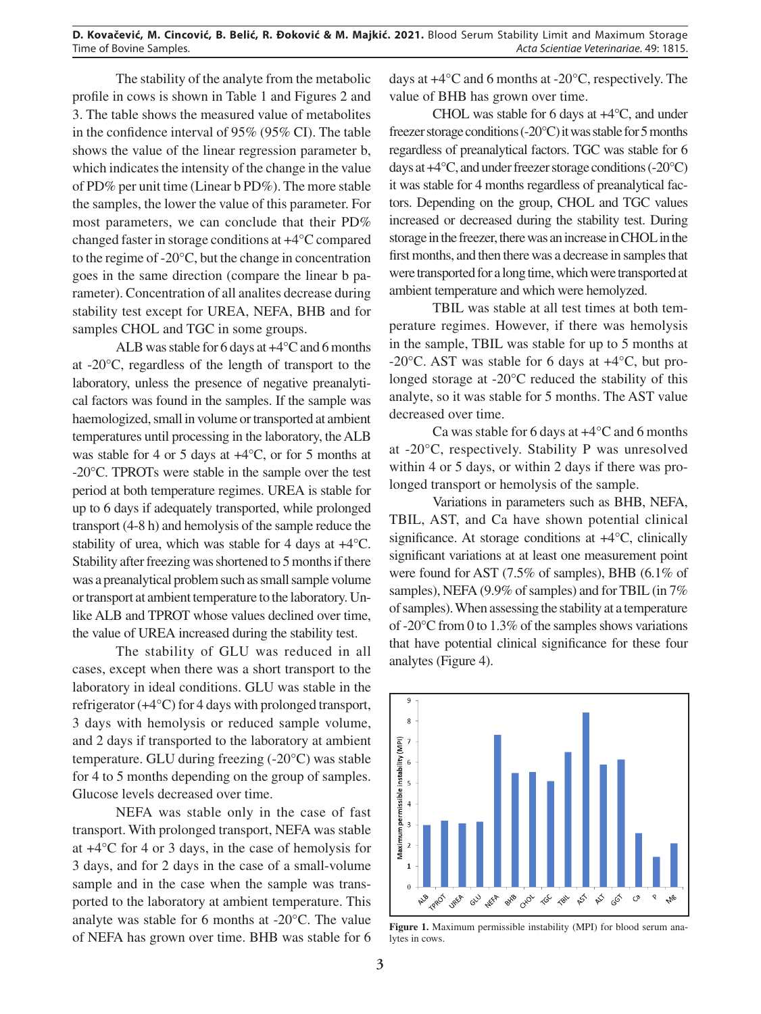The stability of the analyte from the metabolic profile in cows is shown in Table 1 and Figures 2 and 3. The table shows the measured value of metabolites in the confidence interval of 95% (95% CI). The table shows the value of the linear regression parameter b, which indicates the intensity of the change in the value of PD% per unit time (Linear b PD%). The more stable the samples, the lower the value of this parameter. For most parameters, we can conclude that their PD% changed faster in storage conditions at +4°C compared to the regime of -20°C, but the change in concentration goes in the same direction (compare the linear b parameter). Concentration of all analites decrease during stability test except for UREA, NEFA, BHB and for samples CHOL and TGC in some groups.

ALB was stable for 6 days at +4°C and 6 months at -20°C, regardless of the length of transport to the laboratory, unless the presence of negative preanalytical factors was found in the samples. If the sample was haemologized, small in volume or transported at ambient temperatures until processing in the laboratory, the ALB was stable for 4 or 5 days at  $+4^{\circ}$ C, or for 5 months at -20°C. TPROTs were stable in the sample over the test period at both temperature regimes. UREA is stable for up to 6 days if adequately transported, while prolonged transport (4-8 h) and hemolysis of the sample reduce the stability of urea, which was stable for 4 days at +4°C. Stability after freezing was shortened to 5 months if there was a preanalytical problem such as small sample volume or transport at ambient temperature to the laboratory. Unlike ALB and TPROT whose values declined over time, the value of UREA increased during the stability test.

The stability of GLU was reduced in all cases, except when there was a short transport to the laboratory in ideal conditions. GLU was stable in the refrigerator (+4°C) for 4 days with prolonged transport, 3 days with hemolysis or reduced sample volume, and 2 days if transported to the laboratory at ambient temperature. GLU during freezing (-20°C) was stable for 4 to 5 months depending on the group of samples. Glucose levels decreased over time.

NEFA was stable only in the case of fast transport. With prolonged transport, NEFA was stable at +4°C for 4 or 3 days, in the case of hemolysis for 3 days, and for 2 days in the case of a small-volume sample and in the case when the sample was transported to the laboratory at ambient temperature. This analyte was stable for 6 months at -20°C. The value of NEFA has grown over time. BHB was stable for 6 days at +4°C and 6 months at -20°C, respectively. The value of BHB has grown over time.

CHOL was stable for 6 days at +4°C, and under freezer storage conditions (-20°C) it was stable for 5 months regardless of preanalytical factors. TGC was stable for 6 days at +4°C, and under freezer storage conditions (-20°C) it was stable for 4 months regardless of preanalytical factors. Depending on the group, CHOL and TGC values increased or decreased during the stability test. During storage in the freezer, there was an increase in CHOL in the first months, and then there was a decrease in samples that were transported for a long time, which were transported at ambient temperature and which were hemolyzed.

TBIL was stable at all test times at both temperature regimes. However, if there was hemolysis in the sample, TBIL was stable for up to 5 months at -20°C. AST was stable for 6 days at +4°C, but prolonged storage at -20°C reduced the stability of this analyte, so it was stable for 5 months. The AST value decreased over time.

Ca was stable for 6 days at +4°C and 6 months at -20°C, respectively. Stability P was unresolved within 4 or 5 days, or within 2 days if there was prolonged transport or hemolysis of the sample.

Variations in parameters such as BHB, NEFA, TBIL, AST, and Ca have shown potential clinical significance. At storage conditions at +4°C, clinically significant variations at at least one measurement point were found for AST (7.5% of samples), BHB (6.1% of samples), NEFA (9.9% of samples) and for TBIL (in 7% of samples). When assessing the stability at a temperature of -20°C from 0 to 1.3% of the samples shows variations that have potential clinical significance for these four analytes (Figure 4).



**Figure 1.** Maximum permissible instability (MPI) for blood serum analytes in cows.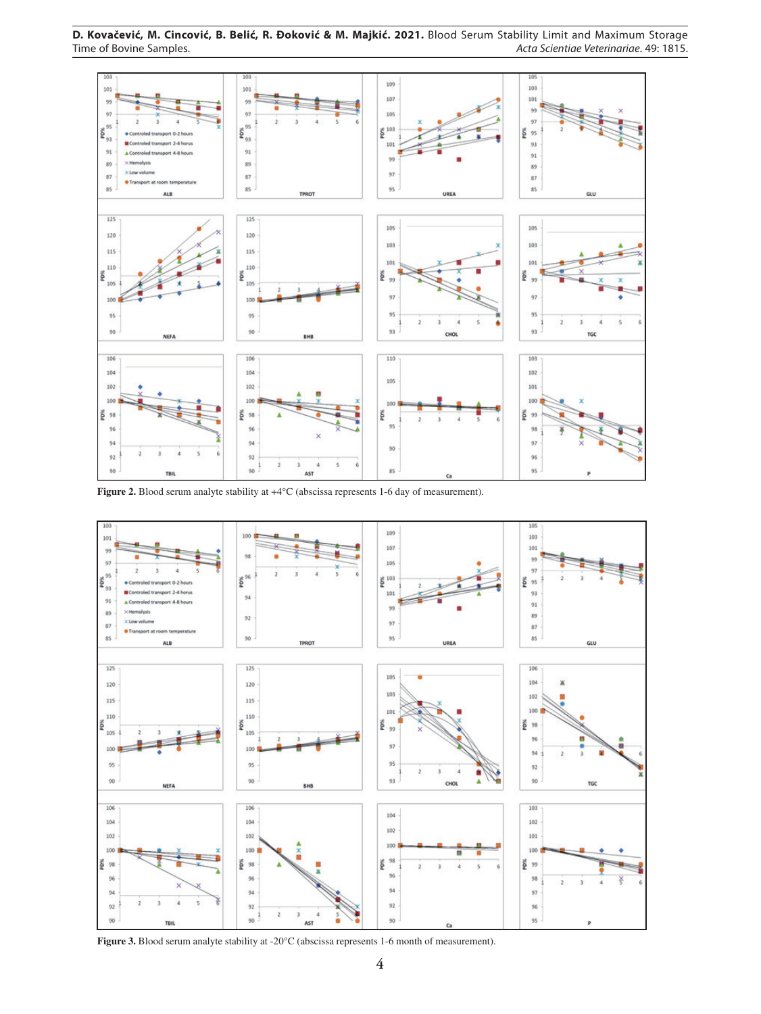**D. Kovačević, M. Cincović, B. Belić, R. Đoković & M. Majkić. 2021.** Blood Serum Stability Limit and Maximum Storage Time of Bovine Samples. *Acta Scientiae Veterinariae*. 49: 1815.



**Figure 2.** Blood serum analyte stability at +4°C (abscissa represents 1-6 day of measurement).



**Figure 3.** Blood serum analyte stability at -20°C (abscissa represents 1-6 month of measurement).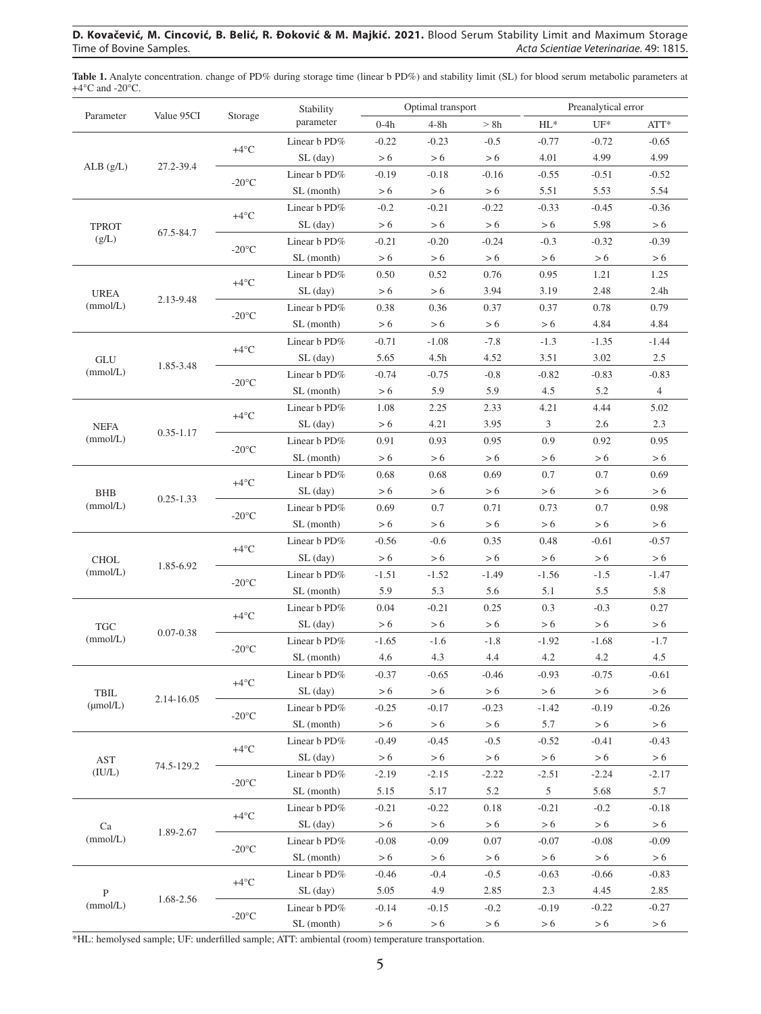## **D. Kovačević, M. Cincović, B. Belić, R. Đoković & M. Majkić. 2021.** Blood Serum Stability Limit and Maximum Storage Acta Scientiae Veterinariae. 49: 1815.

| Parameter                | Value 95CI    | Storage            | Stability<br>parameter | Optimal transport |                |                | Preanalytical error |                 |                 |
|--------------------------|---------------|--------------------|------------------------|-------------------|----------------|----------------|---------------------|-----------------|-----------------|
|                          |               |                    |                        | $0-4h$            | $4-8h$         | > 8h           | $HL^*$              | $UF^*$          | ATT*            |
| ALB(g/L)                 | 27.2-39.4     | $+4^{\circ}C$      | Linear b PD%           | $-0.22$           | $-0.23$        | $-0.5$         | $-0.77$             | $-0.72$         | $-0.65$         |
|                          |               |                    | $SL$ (day)             | > 6               | > 6            | > 6            | 4.01                | 4.99            | 4.99            |
|                          |               | $-20^{\circ}$ C    | Linear b PD%           | $-0.19$           | $-0.18$        | $-0.16$        | $-0.55$             | $-0.51$         | $-0.52$         |
|                          |               |                    | SL (month)             | > 6               | > 6            | > 6            | 5.51                | 5.53            | 5.54            |
| <b>TPROT</b><br>(g/L)    | 67.5-84.7     | $+4^{\circ}C$      | Linear b PD%           | $-0.2$            | $-0.21$        | $-0.22$        | $-0.33$             | $-0.45$         | $-0.36$         |
|                          |               |                    | $SL$ (day)             | > 6               | > 6            | > 6            | > 6                 | 5.98            | > 6             |
|                          |               | $-20^{\circ}$ C    | Linear b PD%           | $-0.21$           | $-0.20$        | $-0.24$        | $-0.3$              | $-0.32$         | $-0.39$         |
|                          |               |                    | SL (month)             | > 6               | > 6            | > 6            | > 6                 | > 6             | > 6             |
| <b>UREA</b><br>(mmol/L)  | 2.13-9.48     | $+4^{\circ}C$      | Linear b PD%           | 0.50              | 0.52           | 0.76           | 0.95                | 1.21            | 1.25            |
|                          |               |                    | $SL$ (day)             | > 6               | > 6            | 3.94           | 3.19                | 2.48            | 2.4h            |
|                          |               | $-20^{\circ}$ C    | Linear b PD%           | 0.38              | 0.36           | 0.37           | 0.37                | 0.78            | 0.79            |
|                          |               |                    | SL (month)             | > 6               | > 6            | > 6            | > 6                 | 4.84            | 4.84            |
| GLU<br>(mmol/L)          | 1.85-3.48     | $+4^{\circ}C$      | Linear b PD%           | $-0.71$           | $-1.08$        | $-7.8$         | $-1.3$              | $-1.35$         | $-1.44$         |
|                          |               |                    | $SL$ (day)             | 5.65              | 4.5h           | 4.52           | 3.51                | 3.02            | 2.5             |
|                          |               | $-20^{\circ}$ C    | Linear b PD%           | $-0.74$           | $-0.75$        | $-0.8$         | $-0.82$             | $-0.83$         | $-0.83$         |
|                          |               |                    | SL (month)             | > 6               | 5.9            | 5.9            | 4.5                 | 5.2             | $\overline{4}$  |
| <b>NEFA</b><br>(mmol/L)  | $0.35 - 1.17$ | $+4^{\circ}C$      | Linear b PD%           | 1.08              | 2.25           | 2.33           | 4.21                | 4.44            | 5.02            |
|                          |               |                    | $SL$ (day)             | > 6               | 4.21           | 3.95           | $\mathfrak{Z}$      | 2.6             | 2.3             |
|                          |               | $-20^{\circ}$ C    | Linear b PD%           | 0.91              | 0.93           | 0.95           | 0.9                 | 0.92            | 0.95            |
|                          |               |                    | SL (month)             | > 6               | > 6            | > 6            | > 6                 | > 6             | > 6             |
| <b>BHB</b><br>(mmol/L)   | $0.25 - 1.33$ | $+4^{\circ}C$      | Linear b PD%           | 0.68              | 0.68           | 0.69           | 0.7                 | 0.7             | 0.69            |
|                          |               |                    | $SL$ (day)             | > 6               | > 6            | > 6            | > 6                 | > 6             | > 6             |
|                          |               | $-20^{\circ}$ C    | Linear b PD%           | 0.69              | 0.7            | 0.71           | 0.73                | 0.7             | 0.98            |
|                          |               |                    | SL (month)             | > 6               | > 6            | > 6            | > 6                 | > 6             | > 6             |
| <b>CHOL</b><br>(mmol/L)  | 1.85-6.92     | $+4^{\circ}C$      | Linear b PD%           | $-0.56$           | $-0.6$         | 0.35           | 0.48                | $-0.61$         | $-0.57$         |
|                          |               |                    | $SL$ (day)             | > 6               | > 6            | > 6            | > 6                 | > 6             | $> 6$           |
|                          |               | $-20^{\circ}$ C    | Linear b PD%           | $-1.51$           | $-1.52$        | $-1.49$        | $-1.56$             | $-1.5$          | $-1.47$         |
|                          |               |                    | SL (month)             | 5.9               | 5.3            | 5.6            | 5.1                 | 5.5             | 5.8             |
| <b>TGC</b><br>(mmol/L)   | $0.07 - 0.38$ | $+4^{\circ}C$      | Linear b PD%           | 0.04              | $-0.21$        | 0.25           | 0.3                 | $-0.3$          | 0.27            |
|                          |               |                    | $SL$ (day)             | > 6               | > 6            | > 6            | $>6\,$              | > 6             | > 6             |
|                          |               | $-20^{\circ}$ C    | Linear b PD%           | $-1.65$           | $-1.6$         | $-1.8$         | $-1.92$             | $-1.68$         | $-1.7$          |
|                          |               |                    | SL (month)             | 4.6               | 4.3            | 4.4            | 4.2                 | 4.2             | 4.5             |
| TBIL<br>$(\mu$ mol/L $)$ | 2.14-16.05    | $+4^{\circ}C$      | Linear b PD%           | $-0.37$           | $-0.65$        | $-0.46$        | $-0.93$             | $-0.75$         | $-0.61$         |
|                          |               |                    | $SL$ (day)             | > 6               | > 6            | > 6            | > 6                 | > 6             | > 6             |
|                          |               | $-20^{\circ}$ C    | Linear b PD%           | $-0.25$           | $-0.17$        | $-0.23$        | $-1.42$             | $-0.19$         | $-0.26$         |
|                          |               |                    | SL (month)             | > 6               | > 6            | > 6            | 5.7                 | > 6             | > 6             |
| <b>AST</b><br>(IU/L)     | 74.5-129.2    | +4 $^{\circ}$ C    | Linear b PD%           | $-0.49$           | $-0.45$        | $-0.5$         | $-0.52$             | $-0.41$         | $-0.43$         |
|                          |               |                    | $SL$ (day)             | > 6               | > 6            | > 6            | > 6                 | > 6             | > 6             |
|                          |               | $-20\textdegree C$ | Linear b PD%           | $-2.19$           | $-2.15$        | $-2.22$        | $-2.51$             | $-2.24$         | $-2.17$         |
|                          |               |                    | SL (month)             | 5.15              | 5.17           | 5.2            | 5                   | 5.68            | 5.7             |
| Ca<br>(mmol/L)           | 1.89-2.67     | $+4^{\circ}C$      | Linear b PD%           | $-0.21$           | $-0.22$        | 0.18           | $-0.21$             | $-0.2$          | $-0.18$         |
|                          |               |                    | $SL$ (day)             | > 6               | > 6            | > 6            | > 6                 | > 6             | > 6             |
|                          |               | $-20\textdegree C$ | Linear b PD%           | $-0.08$           | $-0.09$        | 0.07           | $-0.07$             | $-0.08$         | $-0.09$         |
|                          |               |                    | SL (month)             | > 6               |                |                | > 6                 | > 6             | > 6             |
| $\, {\bf P}$<br>(mmol/L) | 1.68-2.56     | $+4^{\circ}C$      | Linear b PD%           |                   | > 6            | > 6            |                     |                 |                 |
|                          |               |                    | $SL$ (day)             | $-0.46$<br>5.05   | $-0.4$<br>4.9  | $-0.5$<br>2.85 | $-0.63$<br>2.3      | $-0.66$<br>4.45 | $-0.83$<br>2.85 |
|                          |               |                    | Linear b PD%           |                   |                |                |                     | $-0.22$         | $-0.27$         |
|                          |               | $-20^{\circ}$ C    | SL (month)             | $-0.14$<br>> 6    | $-0.15$<br>> 6 | $-0.2$<br>> 6  | $-0.19$<br>> 6      | > 6             | > 6             |
|                          |               |                    |                        |                   |                |                |                     |                 |                 |

**Table 1.** Analyte concentration. change of PD% during storage time (linear b PD%) and stability limit (SL) for blood serum metabolic parameters at  $+4$ °C and -20°C.

\*HL: hemolysed sample; UF: underfilled sample; ATT: ambiental (room) temperature transportation.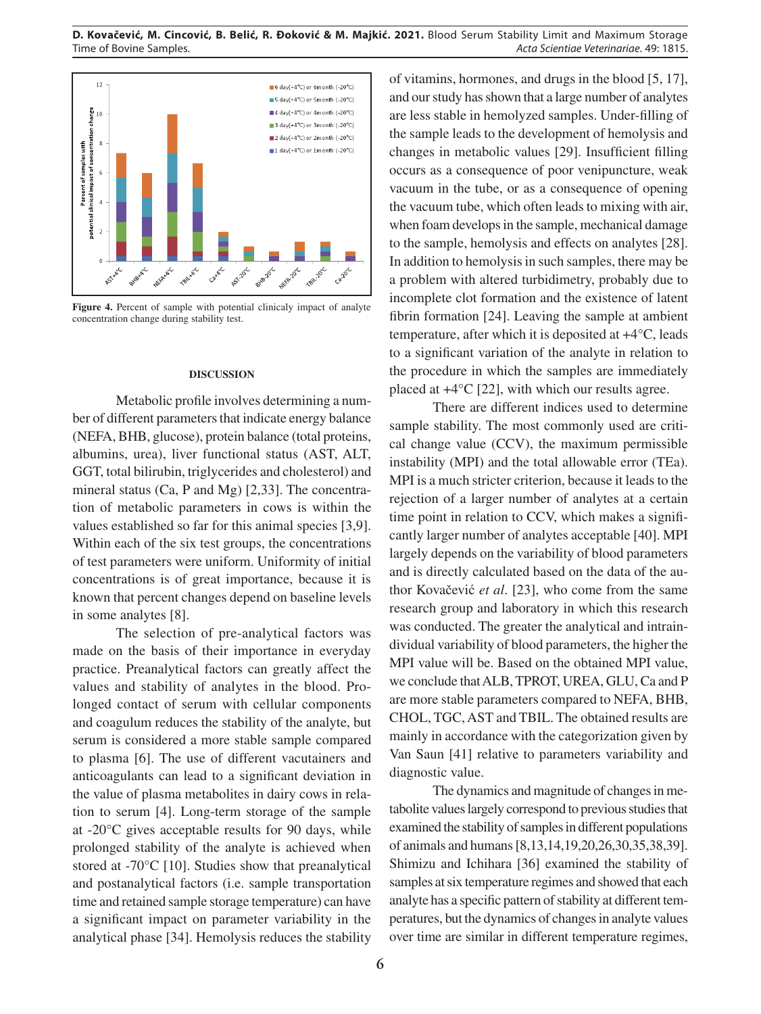

Figure 4. Percent of sample with potential clinicaly impact of analyte concentration change during stability test.

#### **DISCUSSION**

Metabolic profile involves determining a number of different parameters that indicate energy balance (NEFA, BHB, glucose), protein balance (total proteins, albumins, urea), liver functional status (AST, ALT, GGT, total bilirubin, triglycerides and cholesterol) and mineral status (Ca, P and Mg) [2,33]. The concentration of metabolic parameters in cows is within the values established so far for this animal species [3,9]. Within each of the six test groups, the concentrations of test parameters were uniform. Uniformity of initial concentrations is of great importance, because it is known that percent changes depend on baseline levels in some analytes [8].

The selection of pre-analytical factors was made on the basis of their importance in everyday practice. Preanalytical factors can greatly affect the values and stability of analytes in the blood. Prolonged contact of serum with cellular components and coagulum reduces the stability of the analyte, but serum is considered a more stable sample compared to plasma [6]. The use of different vacutainers and anticoagulants can lead to a significant deviation in the value of plasma metabolites in dairy cows in relation to serum [4]. Long-term storage of the sample at -20°C gives acceptable results for 90 days, while prolonged stability of the analyte is achieved when stored at -70°C [10]. Studies show that preanalytical and postanalytical factors (i.e. sample transportation time and retained sample storage temperature) can have a significant impact on parameter variability in the analytical phase [34]. Hemolysis reduces the stability of vitamins, hormones, and drugs in the blood [5, 17], and our study has shown that a large number of analytes are less stable in hemolyzed samples. Under-filling of the sample leads to the development of hemolysis and changes in metabolic values [29]. Insufficient filling occurs as a consequence of poor venipuncture, weak vacuum in the tube, or as a consequence of opening the vacuum tube, which often leads to mixing with air, when foam develops in the sample, mechanical damage to the sample, hemolysis and effects on analytes [28]. In addition to hemolysis in such samples, there may be a problem with altered turbidimetry, probably due to incomplete clot formation and the existence of latent fibrin formation [24]. Leaving the sample at ambient temperature, after which it is deposited at +4°C, leads to a significant variation of the analyte in relation to the procedure in which the samples are immediately placed at +4°C [22], with which our results agree.

There are different indices used to determine sample stability. The most commonly used are critical change value (CCV), the maximum permissible instability (MPI) and the total allowable error (TEa). MPI is a much stricter criterion, because it leads to the rejection of a larger number of analytes at a certain time point in relation to CCV, which makes a significantly larger number of analytes acceptable [40]. MPI largely depends on the variability of blood parameters and is directly calculated based on the data of the author Kovačević *et al*. [23], who come from the same research group and laboratory in which this research was conducted. The greater the analytical and intraindividual variability of blood parameters, the higher the MPI value will be. Based on the obtained MPI value, we conclude that ALB, TPROT, UREA, GLU, Ca and P are more stable parameters compared to NEFA, BHB, CHOL, TGC, AST and TBIL. The obtained results are mainly in accordance with the categorization given by Van Saun [41] relative to parameters variability and diagnostic value.

The dynamics and magnitude of changes in metabolite values largely correspond to previous studies that examined the stability of samples in different populations of animals and humans [8,13,14,19,20,26,30,35,38,39]. Shimizu and Ichihara [36] examined the stability of samples at six temperature regimes and showed that each analyte has a specific pattern of stability at different temperatures, but the dynamics of changes in analyte values over time are similar in different temperature regimes,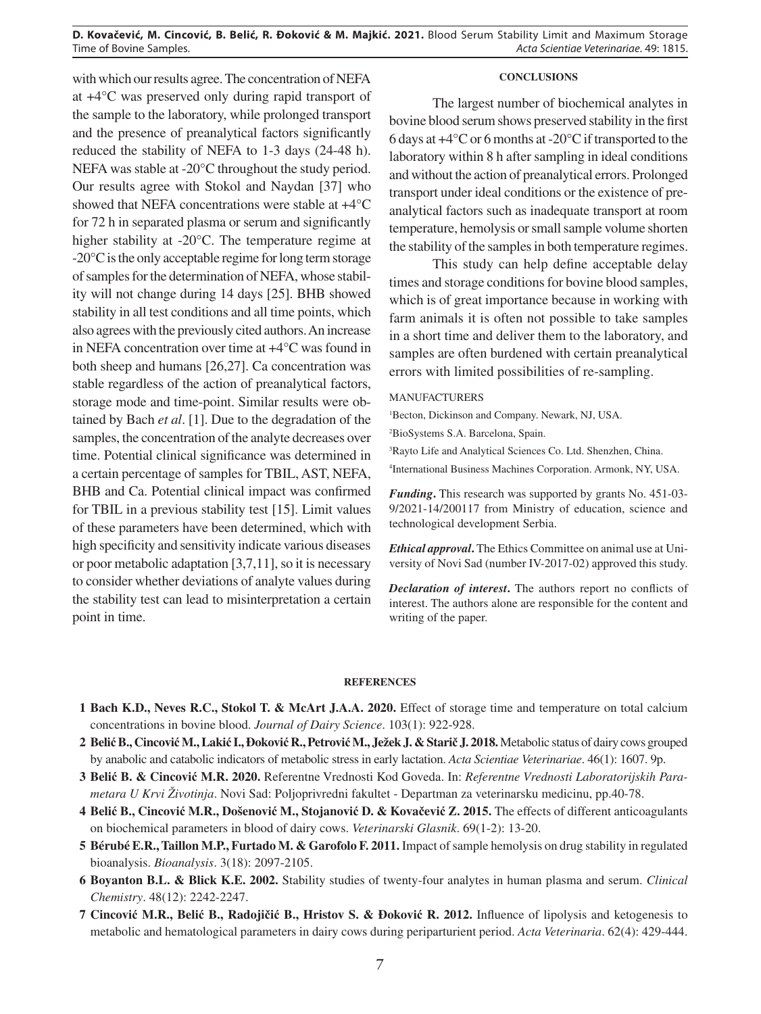**D. Kovačević, M. Cincović, B. Belić, R. Đoković & M. Majkić. 2021.** Blood Serum Stability Limit and Maximum Storage Time of Bovine Samples. *Acta Scientiae Veterinariae*. 49: 1815.

with which our results agree. The concentration of NEFA at +4°C was preserved only during rapid transport of the sample to the laboratory, while prolonged transport and the presence of preanalytical factors significantly reduced the stability of NEFA to 1-3 days (24-48 h). NEFA was stable at -20°C throughout the study period. Our results agree with Stokol and Naydan [37] who showed that NEFA concentrations were stable at +4°C for 72 h in separated plasma or serum and significantly higher stability at -20°C. The temperature regime at -20°C is the only acceptable regime for long term storage of samples for the determination of NEFA, whose stability will not change during 14 days [25]. BHB showed stability in all test conditions and all time points, which also agrees with the previously cited authors. An increase in NEFA concentration over time at +4°C was found in both sheep and humans [26,27]. Ca concentration was stable regardless of the action of preanalytical factors, storage mode and time-point. Similar results were obtained by Bach *et al*. [1]. Due to the degradation of the samples, the concentration of the analyte decreases over time. Potential clinical significance was determined in a certain percentage of samples for TBIL, AST, NEFA, BHB and Ca. Potential clinical impact was confirmed for TBIL in a previous stability test [15]. Limit values of these parameters have been determined, which with high specificity and sensitivity indicate various diseases or poor metabolic adaptation [3,7,11], so it is necessary to consider whether deviations of analyte values during the stability test can lead to misinterpretation a certain point in time.

#### **CONCLUSIONS**

The largest number of biochemical analytes in bovine blood serum shows preserved stability in the first 6 days at +4°C or 6 months at -20°C if transported to the laboratory within 8 h after sampling in ideal conditions and without the action of preanalytical errors. Prolonged transport under ideal conditions or the existence of preanalytical factors such as inadequate transport at room temperature, hemolysis or small sample volume shorten the stability of the samples in both temperature regimes.

This study can help define acceptable delay times and storage conditions for bovine blood samples, which is of great importance because in working with farm animals it is often not possible to take samples in a short time and deliver them to the laboratory, and samples are often burdened with certain preanalytical errors with limited possibilities of re-sampling.

#### MANUFACTURERS

1 Becton, Dickinson and Company. Newark, NJ, USA.

2 BioSystems S.A. Barcelona, Spain.

3 Rayto Life and Analytical Sciences Co. Ltd. Shenzhen, China.

4 International Business Machines Corporation. Armonk, NY, USA.

*Funding***.** This research was supported by grants No. 451-03- 9/2021-14/200117 from Ministry of education, science and technological development Serbia.

*Ethical approval***.** The Ethics Committee on animal use at University of Novi Sad (number IV-2017-02) approved this study.

*Declaration of interest***.** The authors report no conflicts of interest. The authors alone are responsible for the content and writing of the paper.

#### **REFERENCES**

- **1 Bach K.D., Neves R.C., Stokol T. & McArt J.A.A. 2020.** Effect of storage time and temperature on total calcium concentrations in bovine blood. *Journal of Dairy Science*. 103(1): 922-928.
- **2 Belić B., Cincović M., Lakić I., Đoković R., Petrović M., Ježek J. & Starič J. 2018.** Metabolic status of dairy cows grouped by anabolic and catabolic indicators of metabolic stress in early lactation. *Acta Scientiae Veterinariae*. 46(1): 1607. 9p.
- **3 Belić B. & Cincović M.R. 2020.** Referentne Vrednosti Kod Goveda. In: *Referentne Vrednosti Laboratorijskih Parametara U Krvi Životinja*. Novi Sad: Poljoprivredni fakultet - Departman za veterinarsku medicinu, pp.40-78.
- **4 Belić B., Cincović M.R., Došenović M., Stojanović D. & Kovačević Z. 2015.** The effects of different anticoagulants on biochemical parameters in blood of dairy cows. *Veterinarski Glasnik*. 69(1-2): 13-20.
- **5 Bérubé E.R., Taillon M.P., Furtado M. & Garofolo F. 2011.** Impact of sample hemolysis on drug stability in regulated bioanalysis. *Bioanalysis*. 3(18): 2097-2105.
- **6 Boyanton B.L. & Blick K.E. 2002.** Stability studies of twenty-four analytes in human plasma and serum. *Clinical Chemistry*. 48(12): 2242-2247.
- **7 Cincović M.R., Belić B., Radojičić B., Hristov S. & Đoković R. 2012.** Influence of lipolysis and ketogenesis to metabolic and hematological parameters in dairy cows during periparturient period. *Acta Veterinaria*. 62(4): 429-444.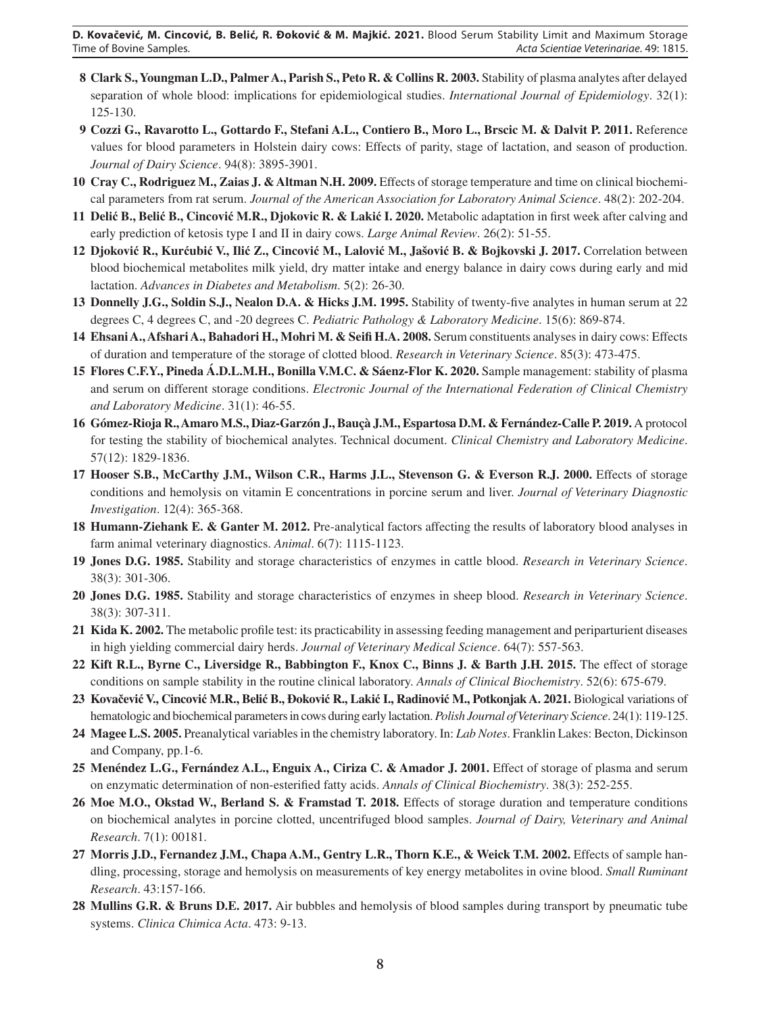**D. Kovačević, M. Cincović, B. Belić, R. Đoković & M. Majkić. 2021.** Blood Serum Stability Limit and Maximum Storage Time of Bovine Samples. *Acta Scientiae Veterinariae*. 49: 1815.

- **8 Clark S., Youngman L.D., Palmer A., Parish S., Peto R. & Collins R. 2003.** Stability of plasma analytes after delayed separation of whole blood: implications for epidemiological studies. *International Journal of Epidemiology*. 32(1): 125-130.
- **9 Cozzi G., Ravarotto L., Gottardo F., Stefani A.L., Contiero B., Moro L., Brscic M. & Dalvit P. 2011.** Reference values for blood parameters in Holstein dairy cows: Effects of parity, stage of lactation, and season of production. *Journal of Dairy Science*. 94(8): 3895-3901.
- **10 Cray C., Rodriguez M., Zaias J. & Altman N.H. 2009.** Effects of storage temperature and time on clinical biochemical parameters from rat serum. *Journal of the American Association for Laboratory Animal Science*. 48(2): 202-204.
- **11 Delić B., Belić B., Cincović M.R., Djokovic R. & Lakić I. 2020.** Metabolic adaptation in first week after calving and early prediction of ketosis type I and II in dairy cows. *Large Animal Review*. 26(2): 51-55.
- 12 Djoković R., Kurćubić V., Ilić Z., Cincović M., Lalović M., Jašović B. & Bojkovski J. 2017. Correlation between blood biochemical metabolites milk yield, dry matter intake and energy balance in dairy cows during early and mid lactation. *Advances in Diabetes and Metabolism*. 5(2): 26-30.
- **13 Donnelly J.G., Soldin S.J., Nealon D.A. & Hicks J.M. 1995.** Stability of twenty-five analytes in human serum at 22 degrees C, 4 degrees C, and -20 degrees C. *Pediatric Pathology & Laboratory Medicine*. 15(6): 869-874.
- **14 Ehsani A., Afshari A., Bahadori H., Mohri M. & Seifi H.A. 2008.** Serum constituents analyses in dairy cows: Effects of duration and temperature of the storage of clotted blood. *Research in Veterinary Science*. 85(3): 473-475.
- **15 Flores C.F.Y., Pineda Á.D.L.M.H., Bonilla V.M.C. & Sáenz-Flor K. 2020.** Sample management: stability of plasma and serum on different storage conditions. *Electronic Journal of the International Federation of Clinical Chemistry and Laboratory Medicine*. 31(1): 46-55.
- **16 Gómez-Rioja R., Amaro M.S., Diaz-Garzón J., Bauçà J.M., Espartosa D.M. & Fernández-Calle P. 2019.** A protocol for testing the stability of biochemical analytes. Technical document. *Clinical Chemistry and Laboratory Medicine*. 57(12): 1829-1836.
- **17 Hooser S.B., McCarthy J.M., Wilson C.R., Harms J.L., Stevenson G. & Everson R.J. 2000.** Effects of storage conditions and hemolysis on vitamin E concentrations in porcine serum and liver. *Journal of Veterinary Diagnostic Investigation*. 12(4): 365-368.
- **18 Humann-Ziehank E. & Ganter M. 2012.** Pre-analytical factors affecting the results of laboratory blood analyses in farm animal veterinary diagnostics. *Animal*. 6(7): 1115-1123.
- **19 Jones D.G. 1985.** Stability and storage characteristics of enzymes in cattle blood. *Research in Veterinary Science*. 38(3): 301-306.
- **20 Jones D.G. 1985.** Stability and storage characteristics of enzymes in sheep blood. *Research in Veterinary Science*. 38(3): 307-311.
- **21 Kida K. 2002.** The metabolic profile test: its practicability in assessing feeding management and periparturient diseases in high yielding commercial dairy herds. *Journal of Veterinary Medical Science*. 64(7): 557-563.
- **22 Kift R.L., Byrne C., Liversidge R., Babbington F., Knox C., Binns J. & Barth J.H. 2015.** The effect of storage conditions on sample stability in the routine clinical laboratory. *Annals of Clinical Biochemistry*. 52(6): 675-679.
- 23 Kovačević V., Cincović M.R., Belić B., Đoković R., Lakić I., Radinović M., Potkonjak A. 2021. Biological variations of hematologic and biochemical parameters in cows during early lactation. *Polish Journal of Veterinary Science*. 24(1): 119-125.
- **24 Magee L.S. 2005.** Preanalytical variables in the chemistry laboratory. In: *Lab Notes*. Franklin Lakes: Becton, Dickinson and Company, pp.1-6.
- **25 Menéndez L.G., Fernández A.L., Enguix A., Ciriza C. & Amador J. 2001.** Effect of storage of plasma and serum on enzymatic determination of non-esterified fatty acids. *Annals of Clinical Biochemistry*. 38(3): 252-255.
- **26 Moe M.O., Okstad W., Berland S. & Framstad T. 2018.** Effects of storage duration and temperature conditions on biochemical analytes in porcine clotted, uncentrifuged blood samples. *Journal of Dairy, Veterinary and Animal Research*. 7(1): 00181.
- **27 Morris J.D., Fernandez J.M., Chapa A.M., Gentry L.R., Thorn K.E., & Weick T.M. 2002.** Effects of sample handling, processing, storage and hemolysis on measurements of key energy metabolites in ovine blood. *Small Ruminant Research*. 43:157-166.
- **28 Mullins G.R. & Bruns D.E. 2017.** Air bubbles and hemolysis of blood samples during transport by pneumatic tube systems. *Clinica Chimica Acta*. 473: 9-13.